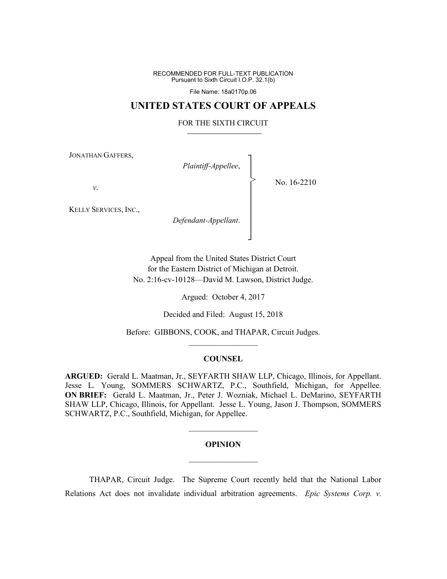RECOMMENDED FOR FULL-TEXT PUBLICATION Pursuant to Sixth Circuit I.O.P. 32.1(b)

File Name: 18a0170p.06

# **UNITED STATES COURT OF APPEALS**

### FOR THE SIXTH CIRCUIT

┐ │ │ │ │ │ │ │ │ ┘

>

JONATHAN GAFFERS,

*Plaintiff-Appellee*,

No. 16-2210

*v*.

KELLY SERVICES, INC.,

*Defendant-Appellant*.

Appeal from the United States District Court for the Eastern District of Michigan at Detroit. No. 2:16-cv-10128—David M. Lawson, District Judge.

Argued: October 4, 2017

Decided and Filed: August 15, 2018

Before: GIBBONS, COOK, and THAPAR, Circuit Judges.  $\mathcal{L}_\text{max}$ 

### **COUNSEL**

**ARGUED:** Gerald L. Maatman, Jr., SEYFARTH SHAW LLP, Chicago, Illinois, for Appellant. Jesse L. Young, SOMMERS SCHWARTZ, P.C., Southfield, Michigan, for Appellee. **ON BRIEF:** Gerald L. Maatman, Jr., Peter J. Wozniak, Michael L. DeMarino, SEYFARTH SHAW LLP, Chicago, Illinois, for Appellant. Jesse L. Young, Jason J. Thompson, SOMMERS SCHWARTZ, P.C., Southfield, Michigan, for Appellee.

# **OPINION**  $\frac{1}{2}$

 $\mathcal{L}_\text{max}$ 

THAPAR, Circuit Judge. The Supreme Court recently held that the National Labor Relations Act does not invalidate individual arbitration agreements. *Epic Systems Corp. v.*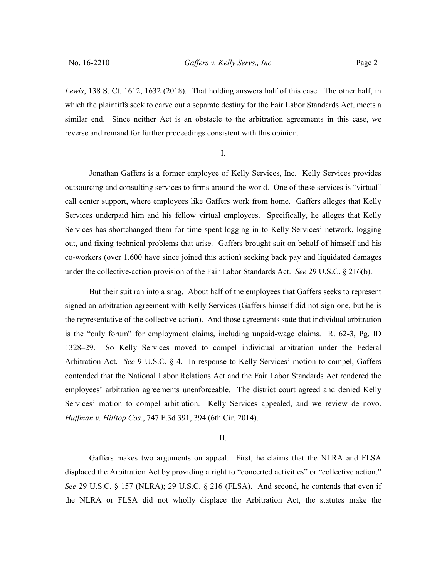*Lewis*, 138 S. Ct. 1612, 1632 (2018). That holding answers half of this case. The other half, in which the plaintiffs seek to carve out a separate destiny for the Fair Labor Standards Act, meets a similar end. Since neither Act is an obstacle to the arbitration agreements in this case, we reverse and remand for further proceedings consistent with this opinion.

I.

Jonathan Gaffers is a former employee of Kelly Services, Inc. Kelly Services provides outsourcing and consulting services to firms around the world. One of these services is "virtual" call center support, where employees like Gaffers work from home. Gaffers alleges that Kelly Services underpaid him and his fellow virtual employees. Specifically, he alleges that Kelly Services has shortchanged them for time spent logging in to Kelly Services' network, logging out, and fixing technical problems that arise. Gaffers brought suit on behalf of himself and his co-workers (over 1,600 have since joined this action) seeking back pay and liquidated damages under the collective-action provision of the Fair Labor Standards Act. *See* 29 U.S.C. § 216(b).

But their suit ran into a snag. About half of the employees that Gaffers seeks to represent signed an arbitration agreement with Kelly Services (Gaffers himself did not sign one, but he is the representative of the collective action). And those agreements state that individual arbitration is the "only forum" for employment claims, including unpaid-wage claims. R. 62-3, Pg. ID 1328–29. So Kelly Services moved to compel individual arbitration under the Federal Arbitration Act. *See* 9 U.S.C. § 4. In response to Kelly Services' motion to compel, Gaffers contended that the National Labor Relations Act and the Fair Labor Standards Act rendered the employees' arbitration agreements unenforceable. The district court agreed and denied Kelly Services' motion to compel arbitration. Kelly Services appealed, and we review de novo. *Huffman v. Hilltop Cos.*, 747 F.3d 391, 394 (6th Cir. 2014).

#### II.

Gaffers makes two arguments on appeal. First, he claims that the NLRA and FLSA displaced the Arbitration Act by providing a right to "concerted activities" or "collective action." *See* 29 U.S.C. § 157 (NLRA); 29 U.S.C. § 216 (FLSA). And second, he contends that even if the NLRA or FLSA did not wholly displace the Arbitration Act, the statutes make the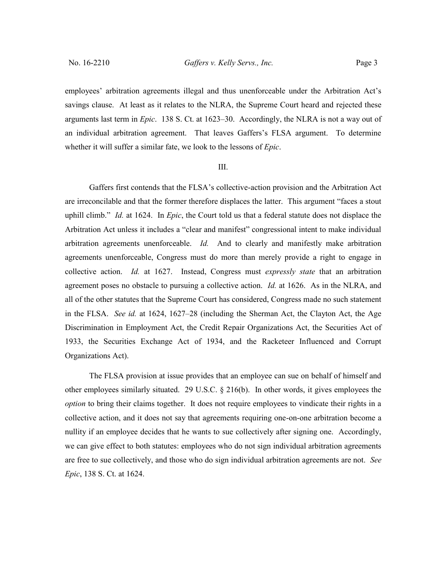employees' arbitration agreements illegal and thus unenforceable under the Arbitration Act's savings clause. At least as it relates to the NLRA, the Supreme Court heard and rejected these arguments last term in *Epic*. 138 S. Ct. at 1623–30. Accordingly, the NLRA is not a way out of an individual arbitration agreement. That leaves Gaffers's FLSA argument. To determine whether it will suffer a similar fate, we look to the lessons of *Epic*.

### III.

Gaffers first contends that the FLSA's collective-action provision and the Arbitration Act are irreconcilable and that the former therefore displaces the latter. This argument "faces a stout uphill climb." *Id.* at 1624. In *Epic*, the Court told us that a federal statute does not displace the Arbitration Act unless it includes a "clear and manifest" congressional intent to make individual arbitration agreements unenforceable. *Id.* And to clearly and manifestly make arbitration agreements unenforceable, Congress must do more than merely provide a right to engage in collective action. *Id.* at 1627. Instead, Congress must *expressly state* that an arbitration agreement poses no obstacle to pursuing a collective action. *Id.* at 1626. As in the NLRA, and all of the other statutes that the Supreme Court has considered, Congress made no such statement in the FLSA. *See id.* at 1624, 1627–28 (including the Sherman Act, the Clayton Act, the Age Discrimination in Employment Act, the Credit Repair Organizations Act, the Securities Act of 1933, the Securities Exchange Act of 1934, and the Racketeer Influenced and Corrupt Organizations Act).

The FLSA provision at issue provides that an employee can sue on behalf of himself and other employees similarly situated. 29 U.S.C. § 216(b). In other words, it gives employees the *option* to bring their claims together. It does not require employees to vindicate their rights in a collective action, and it does not say that agreements requiring one-on-one arbitration become a nullity if an employee decides that he wants to sue collectively after signing one. Accordingly, we can give effect to both statutes: employees who do not sign individual arbitration agreements are free to sue collectively, and those who do sign individual arbitration agreements are not. *See Epic*, 138 S. Ct. at 1624.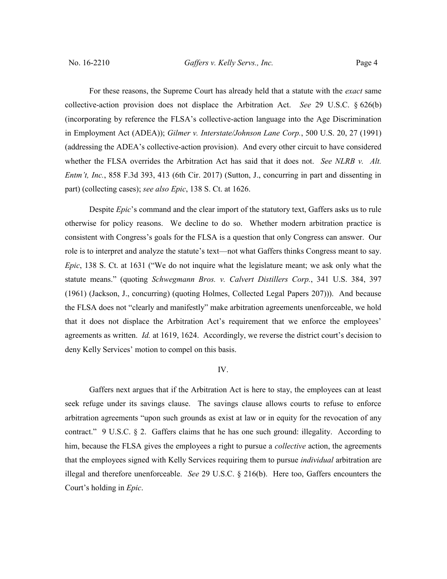For these reasons, the Supreme Court has already held that a statute with the *exact* same collective-action provision does not displace the Arbitration Act. *See* 29 U.S.C. § 626(b) (incorporating by reference the FLSA's collective-action language into the Age Discrimination in Employment Act (ADEA)); *Gilmer v. Interstate/Johnson Lane Corp.*, 500 U.S. 20, 27 (1991) (addressing the ADEA's collective-action provision). And every other circuit to have considered whether the FLSA overrides the Arbitration Act has said that it does not. *See NLRB v. Alt. Entm't, Inc.*, 858 F.3d 393, 413 (6th Cir. 2017) (Sutton, J., concurring in part and dissenting in part) (collecting cases); *see also Epic*, 138 S. Ct. at 1626.

Despite *Epic*'s command and the clear import of the statutory text, Gaffers asks us to rule otherwise for policy reasons. We decline to do so. Whether modern arbitration practice is consistent with Congress's goals for the FLSA is a question that only Congress can answer. Our role is to interpret and analyze the statute's text—not what Gaffers thinks Congress meant to say. *Epic*, 138 S. Ct. at 1631 ("We do not inquire what the legislature meant; we ask only what the statute means." (quoting *Schwegmann Bros. v. Calvert Distillers Corp.*, 341 U.S. 384, 397 (1961) (Jackson, J., concurring) (quoting Holmes, Collected Legal Papers 207))). And because the FLSA does not "clearly and manifestly" make arbitration agreements unenforceable, we hold that it does not displace the Arbitration Act's requirement that we enforce the employees' agreements as written. *Id.* at 1619, 1624. Accordingly, we reverse the district court's decision to deny Kelly Services' motion to compel on this basis.

## IV.

Gaffers next argues that if the Arbitration Act is here to stay, the employees can at least seek refuge under its savings clause. The savings clause allows courts to refuse to enforce arbitration agreements "upon such grounds as exist at law or in equity for the revocation of any contract." 9 U.S.C. § 2. Gaffers claims that he has one such ground: illegality. According to him, because the FLSA gives the employees a right to pursue a *collective* action, the agreements that the employees signed with Kelly Services requiring them to pursue *individual* arbitration are illegal and therefore unenforceable. *See* 29 U.S.C. § 216(b). Here too, Gaffers encounters the Court's holding in *Epic*.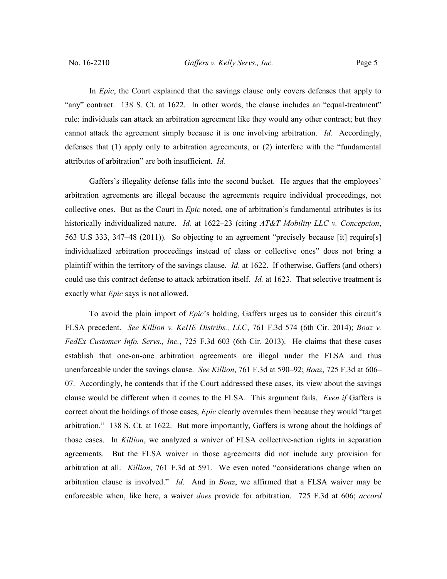In *Epic*, the Court explained that the savings clause only covers defenses that apply to "any" contract. 138 S. Ct. at 1622. In other words, the clause includes an "equal-treatment" rule: individuals can attack an arbitration agreement like they would any other contract; but they cannot attack the agreement simply because it is one involving arbitration. *Id.* Accordingly, defenses that (1) apply only to arbitration agreements, or (2) interfere with the "fundamental attributes of arbitration" are both insufficient. *Id.*

Gaffers's illegality defense falls into the second bucket. He argues that the employees' arbitration agreements are illegal because the agreements require individual proceedings, not collective ones. But as the Court in *Epic* noted, one of arbitration's fundamental attributes is its historically individualized nature. *Id.* at 1622–23 (citing *AT&T Mobility LLC v. Concepcion*, 563 U.S 333, 347–48 (2011)). So objecting to an agreement "precisely because [it] require[s] individualized arbitration proceedings instead of class or collective ones" does not bring a plaintiff within the territory of the savings clause. *Id*. at 1622. If otherwise, Gaffers (and others) could use this contract defense to attack arbitration itself. *Id.* at 1623. That selective treatment is exactly what *Epic* says is not allowed.

To avoid the plain import of *Epic*'s holding, Gaffers urges us to consider this circuit's FLSA precedent. *See Killion v. KeHE Distribs., LLC*, 761 F.3d 574 (6th Cir. 2014); *Boaz v. FedEx Customer Info. Servs., Inc.*, 725 F.3d 603 (6th Cir. 2013). He claims that these cases establish that one-on-one arbitration agreements are illegal under the FLSA and thus unenforceable under the savings clause. *See Killion*, 761 F.3d at 590–92; *Boaz*, 725 F.3d at 606– 07. Accordingly, he contends that if the Court addressed these cases, its view about the savings clause would be different when it comes to the FLSA. This argument fails. *Even if* Gaffers is correct about the holdings of those cases, *Epic* clearly overrules them because they would "target arbitration." 138 S. Ct. at 1622. But more importantly, Gaffers is wrong about the holdings of those cases. In *Killion*, we analyzed a waiver of FLSA collective-action rights in separation agreements. But the FLSA waiver in those agreements did not include any provision for arbitration at all. *Killion*, 761 F.3d at 591. We even noted "considerations change when an arbitration clause is involved." *Id*. And in *Boaz*, we affirmed that a FLSA waiver may be enforceable when, like here, a waiver *does* provide for arbitration. 725 F.3d at 606; *accord*